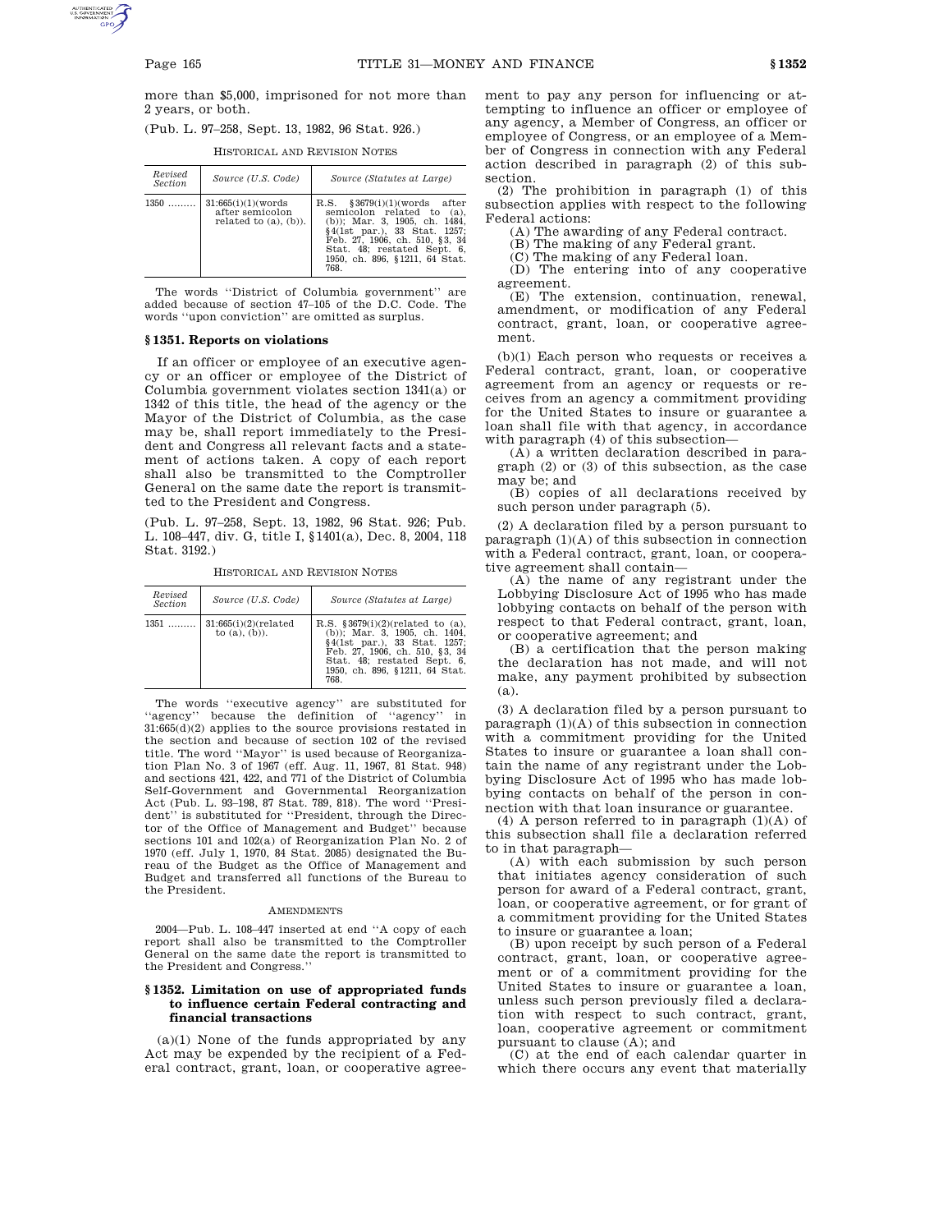more than \$5,000, imprisoned for not more than 2 years, or both.

(Pub. L. 97–258, Sept. 13, 1982, 96 Stat. 926.)

HISTORICAL AND REVISION NOTES

| Revised<br><i>Section</i> | Source (U.S. Code)                                                    | Source (Statutes at Large)                                                                                                                                                                                                                |
|---------------------------|-----------------------------------------------------------------------|-------------------------------------------------------------------------------------------------------------------------------------------------------------------------------------------------------------------------------------------|
| $1350$                    | 31:665(i)(1)(words)<br>after semicolon<br>related to $(a)$ , $(b)$ ). | \$3679(i)(1)(words after<br>R.S.<br>semicolon related to (a).<br>(b)); Mar. 3, 1905, ch. 1484,<br>§4(1st par.), 33 Stat. 1257;<br>Feb. 27, 1906, ch. 510, §3, 34<br>Stat. 48: restated Sept. 6.<br>1950. ch. 896. §1211. 64 Stat.<br>768. |

The words ''District of Columbia government'' are added because of section 47–105 of the D.C. Code. The words ''upon conviction'' are omitted as surplus.

# **§ 1351. Reports on violations**

If an officer or employee of an executive agency or an officer or employee of the District of Columbia government violates section 1341(a) or 1342 of this title, the head of the agency or the Mayor of the District of Columbia, as the case may be, shall report immediately to the President and Congress all relevant facts and a statement of actions taken. A copy of each report shall also be transmitted to the Comptroller General on the same date the report is transmitted to the President and Congress.

(Pub. L. 97–258, Sept. 13, 1982, 96 Stat. 926; Pub. L. 108–447, div. G, title I, §1401(a), Dec. 8, 2004, 118 Stat. 3192.)

HISTORICAL AND REVISION NOTES

| Revised<br>Section | Source (U.S. Code)                                   | Source (Statutes at Large)                                                                                                                                                                                       |
|--------------------|------------------------------------------------------|------------------------------------------------------------------------------------------------------------------------------------------------------------------------------------------------------------------|
|                    | $1351$   31:665(i)(2)(related<br>to $(a)$ , $(b)$ ). | R.S. $$3679(i)(2)(related to (a))$<br>$(b)$ : Mar. 3, 1905, ch. 1404,<br>§4(1st par.), 33 Stat. 1257;<br>Feb. 27, 1906, ch. 510, §3, 34<br>Stat. 48; restated Sept. 6,<br>1950, ch. 896, §1211, 64 Stat.<br>768. |

The words "executive agency" are substituted for "agency" because the definition of "agency" in because the definition of "agency" in 31:665(d)(2) applies to the source provisions restated in the section and because of section 102 of the revised title. The word ''Mayor'' is used because of Reorganization Plan No. 3 of 1967 (eff. Aug. 11, 1967, 81 Stat. 948) and sections 421, 422, and 771 of the District of Columbia Self-Government and Governmental Reorganization Act (Pub. L. 93–198, 87 Stat. 789, 818). The word ''President'' is substituted for ''President, through the Director of the Office of Management and Budget'' because sections 101 and 102(a) of Reorganization Plan No. 2 of 1970 (eff. July 1, 1970, 84 Stat. 2085) designated the Bureau of the Budget as the Office of Management and Budget and transferred all functions of the Bureau to the President.

## AMENDMENTS

2004—Pub. L. 108–447 inserted at end ''A copy of each report shall also be transmitted to the Comptroller General on the same date the report is transmitted to the President and Congress.''

# **§ 1352. Limitation on use of appropriated funds to influence certain Federal contracting and financial transactions**

 $(a)(1)$  None of the funds appropriated by any Act may be expended by the recipient of a Federal contract, grant, loan, or cooperative agreement to pay any person for influencing or attempting to influence an officer or employee of any agency, a Member of Congress, an officer or employee of Congress, or an employee of a Member of Congress in connection with any Federal action described in paragraph (2) of this subsection.

(2) The prohibition in paragraph (1) of this subsection applies with respect to the following Federal actions:

(A) The awarding of any Federal contract.

(B) The making of any Federal grant.

(C) The making of any Federal loan.

(D) The entering into of any cooperative agreement.

(E) The extension, continuation, renewal, amendment, or modification of any Federal contract, grant, loan, or cooperative agreement.

(b)(1) Each person who requests or receives a Federal contract, grant, loan, or cooperative agreement from an agency or requests or receives from an agency a commitment providing for the United States to insure or guarantee a loan shall file with that agency, in accordance with paragraph (4) of this subsection—

(A) a written declaration described in paragraph (2) or (3) of this subsection, as the case may be; and

(B) copies of all declarations received by such person under paragraph (5).

(2) A declaration filed by a person pursuant to paragraph (1)(A) of this subsection in connection with a Federal contract, grant, loan, or cooperative agreement shall contain—

(A) the name of any registrant under the Lobbying Disclosure Act of 1995 who has made lobbying contacts on behalf of the person with respect to that Federal contract, grant, loan, or cooperative agreement; and

(B) a certification that the person making the declaration has not made, and will not make, any payment prohibited by subsection (a).

(3) A declaration filed by a person pursuant to paragraph (1)(A) of this subsection in connection with a commitment providing for the United States to insure or guarantee a loan shall contain the name of any registrant under the Lobbying Disclosure Act of 1995 who has made lobbying contacts on behalf of the person in connection with that loan insurance or guarantee.

(4) A person referred to in paragraph  $(1)(A)$  of this subsection shall file a declaration referred to in that paragraph—

(A) with each submission by such person that initiates agency consideration of such person for award of a Federal contract, grant, loan, or cooperative agreement, or for grant of a commitment providing for the United States to insure or guarantee a loan;

(B) upon receipt by such person of a Federal contract, grant, loan, or cooperative agreement or of a commitment providing for the United States to insure or guarantee a loan, unless such person previously filed a declaration with respect to such contract, grant, loan, cooperative agreement or commitment pursuant to clause (A); and

(C) at the end of each calendar quarter in which there occurs any event that materially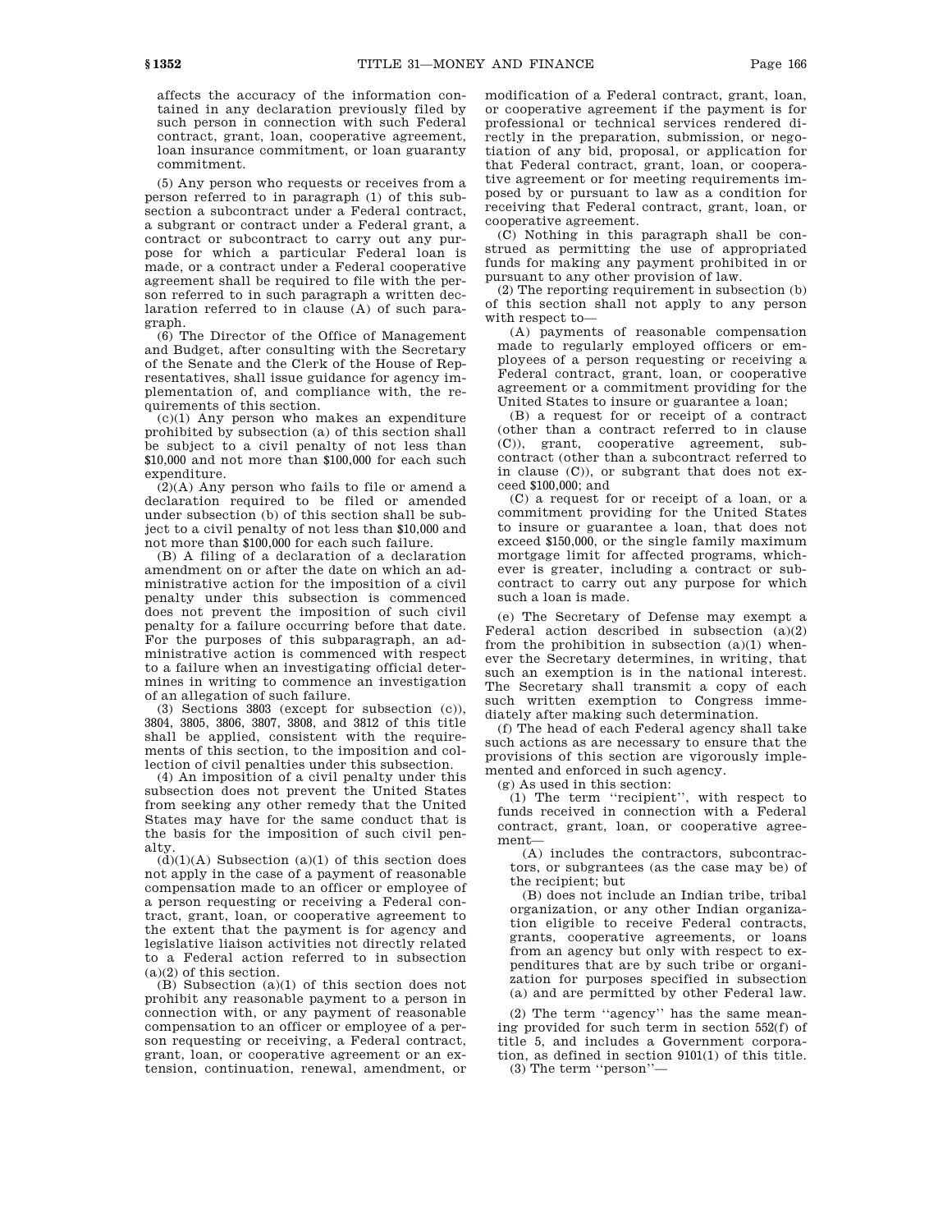affects the accuracy of the information contained in any declaration previously filed by such person in connection with such Federal contract, grant, loan, cooperative agreement, loan insurance commitment, or loan guaranty commitment.

(5) Any person who requests or receives from a person referred to in paragraph (1) of this subsection a subcontract under a Federal contract, a subgrant or contract under a Federal grant, a contract or subcontract to carry out any purpose for which a particular Federal loan is made, or a contract under a Federal cooperative agreement shall be required to file with the person referred to in such paragraph a written declaration referred to in clause (A) of such paragraph.

(6) The Director of the Office of Management and Budget, after consulting with the Secretary of the Senate and the Clerk of the House of Representatives, shall issue guidance for agency implementation of, and compliance with, the requirements of this section.

(c)(1) Any person who makes an expenditure prohibited by subsection (a) of this section shall be subject to a civil penalty of not less than \$10,000 and not more than \$100,000 for each such expenditure.

 $\tilde{(2)}$ (A) Any person who fails to file or amend a declaration required to be filed or amended under subsection (b) of this section shall be subject to a civil penalty of not less than \$10,000 and not more than \$100,000 for each such failure.

(B) A filing of a declaration of a declaration amendment on or after the date on which an administrative action for the imposition of a civil penalty under this subsection is commenced does not prevent the imposition of such civil penalty for a failure occurring before that date. For the purposes of this subparagraph, an administrative action is commenced with respect to a failure when an investigating official determines in writing to commence an investigation of an allegation of such failure.

(3) Sections 3803 (except for subsection (c)), 3804, 3805, 3806, 3807, 3808, and 3812 of this title shall be applied, consistent with the requirements of this section, to the imposition and collection of civil penalties under this subsection.

(4) An imposition of a civil penalty under this subsection does not prevent the United States from seeking any other remedy that the United States may have for the same conduct that is the basis for the imposition of such civil penalty.

 $(d)(1)(A)$  Subsection  $(a)(1)$  of this section does not apply in the case of a payment of reasonable compensation made to an officer or employee of a person requesting or receiving a Federal contract, grant, loan, or cooperative agreement to the extent that the payment is for agency and legislative liaison activities not directly related to a Federal action referred to in subsection (a)(2) of this section.

(B) Subsection (a)(1) of this section does not prohibit any reasonable payment to a person in connection with, or any payment of reasonable compensation to an officer or employee of a person requesting or receiving, a Federal contract, grant, loan, or cooperative agreement or an extension, continuation, renewal, amendment, or

modification of a Federal contract, grant, loan, or cooperative agreement if the payment is for professional or technical services rendered directly in the preparation, submission, or negotiation of any bid, proposal, or application for that Federal contract, grant, loan, or cooperative agreement or for meeting requirements imposed by or pursuant to law as a condition for receiving that Federal contract, grant, loan, or cooperative agreement.

(C) Nothing in this paragraph shall be construed as permitting the use of appropriated funds for making any payment prohibited in or pursuant to any other provision of law.

(2) The reporting requirement in subsection (b) of this section shall not apply to any person with respect to—

(A) payments of reasonable compensation made to regularly employed officers or employees of a person requesting or receiving a Federal contract, grant, loan, or cooperative agreement or a commitment providing for the United States to insure or guarantee a loan;

(B) a request for or receipt of a contract (other than a contract referred to in clause (C)), grant, cooperative agreement, subcontract (other than a subcontract referred to in clause (C)), or subgrant that does not exceed \$100,000; and

(C) a request for or receipt of a loan, or a commitment providing for the United States to insure or guarantee a loan, that does not exceed \$150,000, or the single family maximum mortgage limit for affected programs, whichever is greater, including a contract or subcontract to carry out any purpose for which such a loan is made.

(e) The Secretary of Defense may exempt a Federal action described in subsection (a)(2) from the prohibition in subsection  $(a)(1)$  whenever the Secretary determines, in writing, that such an exemption is in the national interest. The Secretary shall transmit a copy of each such written exemption to Congress immediately after making such determination.

(f) The head of each Federal agency shall take such actions as are necessary to ensure that the provisions of this section are vigorously implemented and enforced in such agency.

(g) As used in this section:

(1) The term ''recipient'', with respect to funds received in connection with a Federal contract, grant, loan, or cooperative agreement—

(A) includes the contractors, subcontractors, or subgrantees (as the case may be) of the recipient; but

(B) does not include an Indian tribe, tribal organization, or any other Indian organization eligible to receive Federal contracts, grants, cooperative agreements, or loans from an agency but only with respect to expenditures that are by such tribe or organization for purposes specified in subsection (a) and are permitted by other Federal law.

(2) The term ''agency'' has the same meaning provided for such term in section 552(f) of title 5, and includes a Government corporation, as defined in section 9101(1) of this title.

(3) The term ''person''—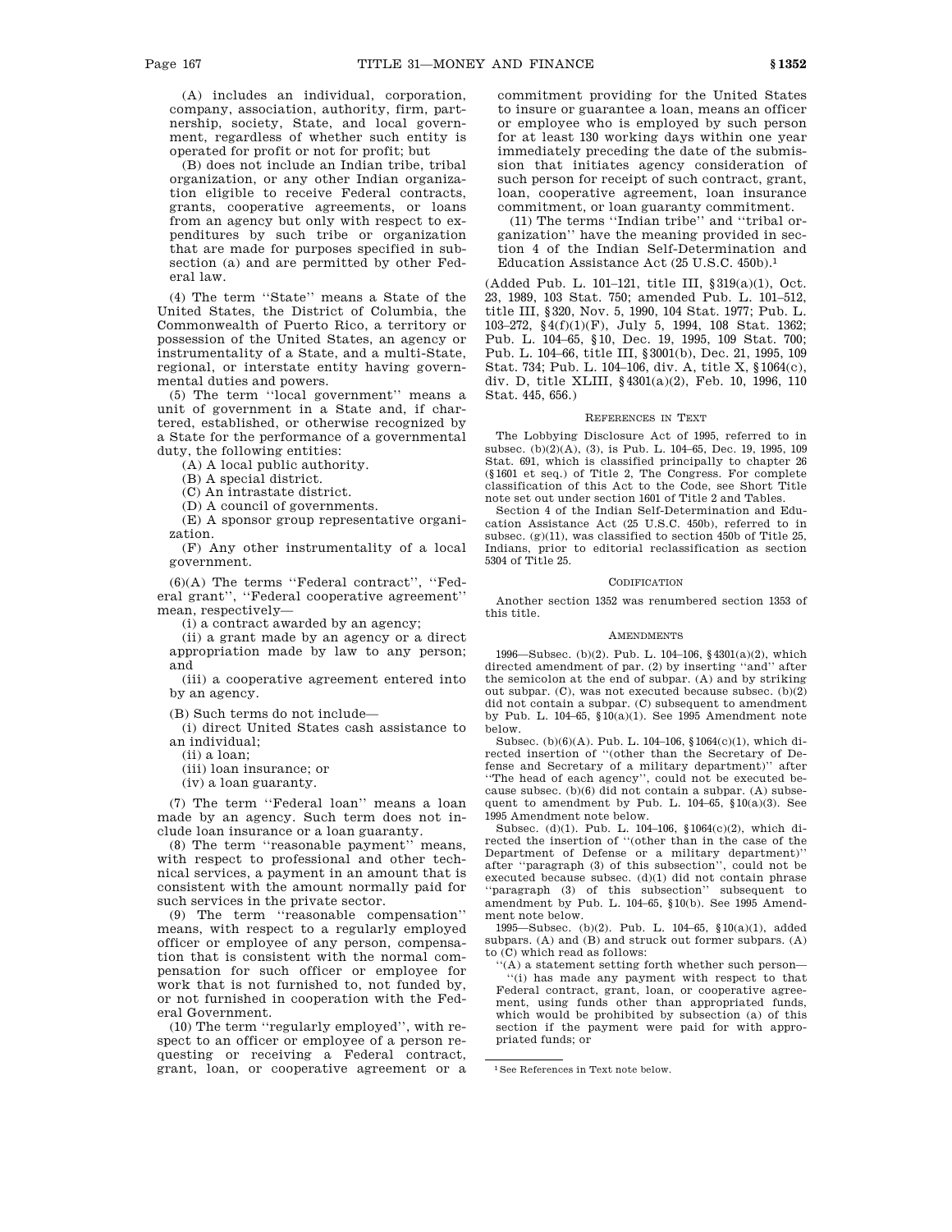(A) includes an individual, corporation, company, association, authority, firm, partnership, society, State, and local government, regardless of whether such entity is operated for profit or not for profit; but

(B) does not include an Indian tribe, tribal organization, or any other Indian organization eligible to receive Federal contracts, grants, cooperative agreements, or loans from an agency but only with respect to expenditures by such tribe or organization that are made for purposes specified in subsection (a) and are permitted by other Federal law.

(4) The term ''State'' means a State of the United States, the District of Columbia, the Commonwealth of Puerto Rico, a territory or possession of the United States, an agency or instrumentality of a State, and a multi-State, regional, or interstate entity having governmental duties and powers.

(5) The term ''local government'' means a unit of government in a State and, if chartered, established, or otherwise recognized by a State for the performance of a governmental duty, the following entities:

(A) A local public authority.

(B) A special district.

(C) An intrastate district.

(D) A council of governments.

(E) A sponsor group representative organization.

(F) Any other instrumentality of a local government.

(6)(A) The terms ''Federal contract'', ''Federal grant'', ''Federal cooperative agreement'' mean, respectively—

(i) a contract awarded by an agency;

(ii) a grant made by an agency or a direct appropriation made by law to any person; and

(iii) a cooperative agreement entered into by an agency.

(B) Such terms do not include—

(i) direct United States cash assistance to an individual;

(ii) a loan;

(iii) loan insurance; or

(iv) a loan guaranty.

(7) The term ''Federal loan'' means a loan made by an agency. Such term does not include loan insurance or a loan guaranty.

(8) The term ''reasonable payment'' means, with respect to professional and other technical services, a payment in an amount that is consistent with the amount normally paid for such services in the private sector.

(9) The term ''reasonable compensation'' means, with respect to a regularly employed officer or employee of any person, compensation that is consistent with the normal compensation for such officer or employee for work that is not furnished to, not funded by, or not furnished in cooperation with the Federal Government.

(10) The term ''regularly employed'', with respect to an officer or employee of a person requesting or receiving a Federal contract, grant, loan, or cooperative agreement or a commitment providing for the United States to insure or guarantee a loan, means an officer or employee who is employed by such person for at least 130 working days within one year immediately preceding the date of the submission that initiates agency consideration of such person for receipt of such contract, grant, loan, cooperative agreement, loan insurance commitment, or loan guaranty commitment.

(11) The terms ''Indian tribe'' and ''tribal organization'' have the meaning provided in section 4 of the Indian Self-Determination and Education Assistance Act (25 U.S.C. 450b).1

(Added Pub. L. 101–121, title III, §319(a)(1), Oct. 23, 1989, 103 Stat. 750; amended Pub. L. 101–512, title III, §320, Nov. 5, 1990, 104 Stat. 1977; Pub. L. 103–272,  $\S\,4(f)(1)(F),$  July 5, 1994, 108 Stat. 1362; Pub. L. 104–65, §10, Dec. 19, 1995, 109 Stat. 700; Pub. L. 104–66, title III, §3001(b), Dec. 21, 1995, 109 Stat. 734; Pub. L. 104–106, div. A, title X, §1064(c), div. D, title XLIII, §4301(a)(2), Feb. 10, 1996, 110 Stat. 445, 656.)

## REFERENCES IN TEXT

The Lobbying Disclosure Act of 1995, referred to in subsec. (b)(2)(A), (3), is Pub. L. 104–65, Dec. 19, 1995, 109 Stat. 691, which is classified principally to chapter 26 (§1601 et seq.) of Title 2, The Congress. For complete classification of this Act to the Code, see Short Title note set out under section 1601 of Title 2 and Tables.

Section 4 of the Indian Self-Determination and Education Assistance Act (25 U.S.C. 450b), referred to in subsec. (g)(11), was classified to section 450b of Title 25, Indians, prior to editorial reclassification as section 5304 of Title 25.

### CODIFICATION

Another section 1352 was renumbered section 1353 of this title.

### AMENDMENTS

1996—Subsec. (b)(2). Pub. L. 104–106, §4301(a)(2), which directed amendment of par. (2) by inserting ''and'' after the semicolon at the end of subpar. (A) and by striking out subpar. (C), was not executed because subsec. (b)(2) did not contain a subpar. (C) subsequent to amendment by Pub. L. 104–65, §10(a)(1). See 1995 Amendment note below.

Subsec. (b)(6)(A). Pub. L. 104–106, §1064(c)(1), which directed insertion of ''(other than the Secretary of Defense and Secretary of a military department)'' after ''The head of each agency'', could not be executed because subsec. (b)(6) did not contain a subpar. (A) subsequent to amendment by Pub. L. 104–65, §10(a)(3). See 1995 Amendment note below.

Subsec. (d)(1). Pub. L. 104–106, §1064(c)(2), which directed the insertion of ''(other than in the case of the Department of Defense or a military department)'' after ''paragraph (3) of this subsection'', could not be executed because subsec. (d)(1) did not contain phrase ''paragraph (3) of this subsection'' subsequent to amendment by Pub. L. 104–65, §10(b). See 1995 Amendment note below.

1995—Subsec. (b)(2). Pub. L. 104–65, §10(a)(1), added subpars. (A) and  $(B)$  and struck out former subpars.  $(A)$ to (C) which read as follows:

''(A) a statement setting forth whether such person— ''(i) has made any payment with respect to that Federal contract, grant, loan, or cooperative agreement, using funds other than appropriated funds, which would be prohibited by subsection (a) of this section if the payment were paid for with appropriated funds; or

<sup>1</sup>See References in Text note below.